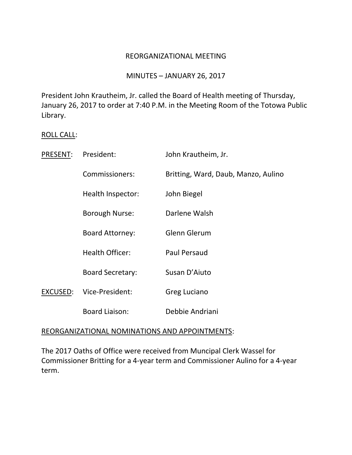### REORGANIZATIONAL MEETING

## MINUTES – JANUARY 26, 2017

President John Krautheim, Jr. called the Board of Health meeting of Thursday, January 26, 2017 to order at 7:40 P.M. in the Meeting Room of the Totowa Public Library.

## ROLL CALL:

| <b>PRESENT:</b> | President:              | John Krautheim, Jr.                 |
|-----------------|-------------------------|-------------------------------------|
|                 | Commissioners:          | Britting, Ward, Daub, Manzo, Aulino |
|                 | Health Inspector:       | John Biegel                         |
|                 | Borough Nurse:          | Darlene Walsh                       |
|                 | <b>Board Attorney:</b>  | Glenn Glerum                        |
|                 | <b>Health Officer:</b>  | Paul Persaud                        |
|                 | <b>Board Secretary:</b> | Susan D'Aiuto                       |
| EXCUSED:        | Vice-President:         | Greg Luciano                        |
|                 | <b>Board Liaison:</b>   | Debbie Andriani                     |

#### REORGANIZATIONAL NOMINATIONS AND APPOINTMENTS:

The 2017 Oaths of Office were received from Muncipal Clerk Wassel for Commissioner Britting for a 4-year term and Commissioner Aulino for a 4-year term.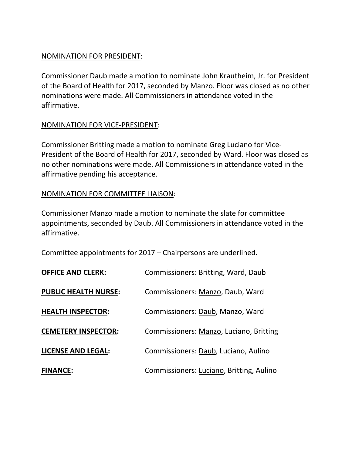## NOMINATION FOR PRESIDENT:

Commissioner Daub made a motion to nominate John Krautheim, Jr. for President of the Board of Health for 2017, seconded by Manzo. Floor was closed as no other nominations were made. All Commissioners in attendance voted in the affirmative.

# NOMINATION FOR VICE-PRESIDENT:

Commissioner Britting made a motion to nominate Greg Luciano for Vice-President of the Board of Health for 2017, seconded by Ward. Floor was closed as no other nominations were made. All Commissioners in attendance voted in the affirmative pending his acceptance.

# NOMINATION FOR COMMITTEE LIAISON:

Commissioner Manzo made a motion to nominate the slate for committee appointments, seconded by Daub. All Commissioners in attendance voted in the affirmative.

Committee appointments for 2017 – Chairpersons are underlined.

| <b>OFFICE AND CLERK:</b>    | Commissioners: Britting, Ward, Daub      |
|-----------------------------|------------------------------------------|
| <b>PUBLIC HEALTH NURSE:</b> | Commissioners: Manzo, Daub, Ward         |
| <b>HEALTH INSPECTOR:</b>    | Commissioners: Daub, Manzo, Ward         |
| <b>CEMETERY INSPECTOR:</b>  | Commissioners: Manzo, Luciano, Britting  |
| <b>LICENSE AND LEGAL:</b>   | Commissioners: Daub, Luciano, Aulino     |
| <b>FINANCE:</b>             | Commissioners: Luciano, Britting, Aulino |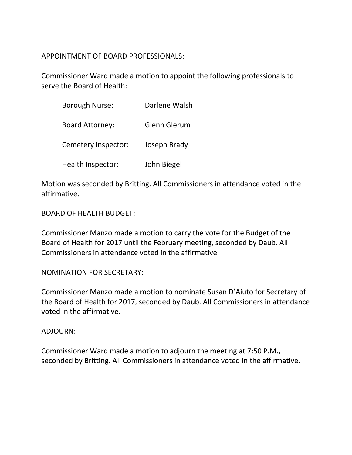## APPOINTMENT OF BOARD PROFESSIONALS:

Commissioner Ward made a motion to appoint the following professionals to serve the Board of Health:

| <b>Borough Nurse:</b>  | Darlene Walsh |
|------------------------|---------------|
| <b>Board Attorney:</b> | Glenn Glerum  |
| Cemetery Inspector:    | Joseph Brady  |
| Health Inspector:      | John Biegel   |

Motion was seconded by Britting. All Commissioners in attendance voted in the affirmative.

## BOARD OF HEALTH BUDGET:

Commissioner Manzo made a motion to carry the vote for the Budget of the Board of Health for 2017 until the February meeting, seconded by Daub. All Commissioners in attendance voted in the affirmative.

## NOMINATION FOR SECRETARY:

Commissioner Manzo made a motion to nominate Susan D'Aiuto for Secretary of the Board of Health for 2017, seconded by Daub. All Commissioners in attendance voted in the affirmative.

#### ADJOURN:

Commissioner Ward made a motion to adjourn the meeting at 7:50 P.M., seconded by Britting. All Commissioners in attendance voted in the affirmative.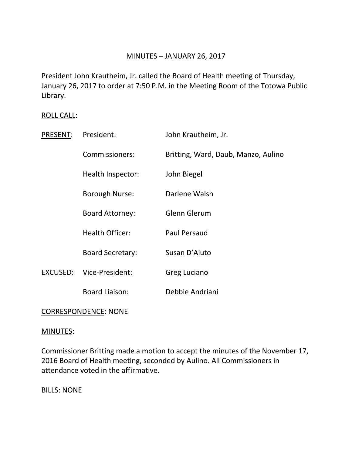## MINUTES – JANUARY 26, 2017

President John Krautheim, Jr. called the Board of Health meeting of Thursday, January 26, 2017 to order at 7:50 P.M. in the Meeting Room of the Totowa Public Library.

## ROLL CALL:

| PRESENT: | President:              | John Krautheim, Jr.                 |
|----------|-------------------------|-------------------------------------|
|          | Commissioners:          | Britting, Ward, Daub, Manzo, Aulino |
|          | Health Inspector:       | John Biegel                         |
|          | Borough Nurse:          | Darlene Walsh                       |
|          | <b>Board Attorney:</b>  | Glenn Glerum                        |
|          | <b>Health Officer:</b>  | <b>Paul Persaud</b>                 |
|          | <b>Board Secretary:</b> | Susan D'Aiuto                       |
| EXCUSED: | Vice-President:         | Greg Luciano                        |
|          | <b>Board Liaison:</b>   | Debbie Andriani                     |
|          |                         |                                     |

## CORRESPONDENCE: NONE

#### MINUTES:

Commissioner Britting made a motion to accept the minutes of the November 17, 2016 Board of Health meeting, seconded by Aulino. All Commissioners in attendance voted in the affirmative.

**BILLS: NONE**